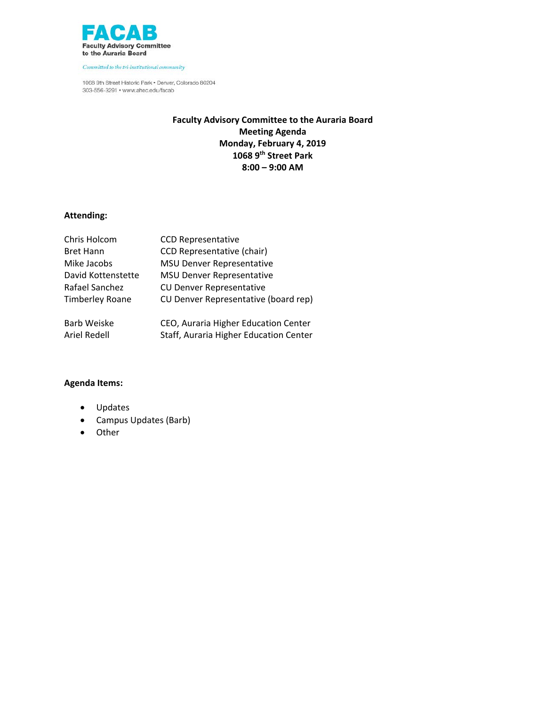

1068 9th Street Historic Park . Denver, Colorado 80204 303-556-3291 · www.ahec.edu/facab

## **Faculty Advisory Committee to the Auraria Board Meeting Agenda Monday, February 4, 2019 1068 9th Street Park 8:00 – 9:00 AM**

## **Attending:**

| Chris Holcom           | <b>CCD Representative</b>              |
|------------------------|----------------------------------------|
| <b>Bret Hann</b>       | <b>CCD Representative (chair)</b>      |
| Mike Jacobs            | <b>MSU Denver Representative</b>       |
| David Kottenstette     | <b>MSU Denver Representative</b>       |
| Rafael Sanchez         | <b>CU Denver Representative</b>        |
| <b>Timberley Roane</b> | CU Denver Representative (board rep)   |
| <b>Barb Weiske</b>     | CEO, Auraria Higher Education Center   |
| Ariel Redell           | Staff, Auraria Higher Education Center |

- Updates
- Campus Updates (Barb)
- Other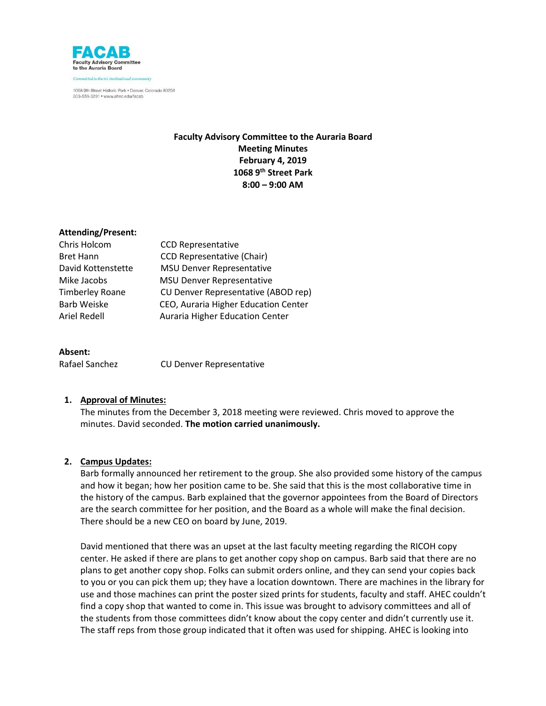

## **Faculty Advisory Committee to the Auraria Board Meeting Minutes February 4, 2019 1068 9th Street Park 8:00 – 9:00 AM**

#### **Attending/Present:**

| Chris Holcom       | <b>CCD Representative</b>            |
|--------------------|--------------------------------------|
| <b>Bret Hann</b>   | <b>CCD Representative (Chair)</b>    |
| David Kottenstette | <b>MSU Denver Representative</b>     |
| Mike Jacobs        | <b>MSU Denver Representative</b>     |
| Timberley Roane    | CU Denver Representative (ABOD rep)  |
| <b>Barb Weiske</b> | CEO, Auraria Higher Education Center |
| Ariel Redell       | Auraria Higher Education Center      |
|                    |                                      |

#### **Absent:**

Rafael Sanchez **CU Denver Representative** 

#### **1. Approval of Minutes:**

The minutes from the December 3, 2018 meeting were reviewed. Chris moved to approve the minutes. David seconded. **The motion carried unanimously.**

#### **2. Campus Updates:**

Barb formally announced her retirement to the group. She also provided some history of the campus and how it began; how her position came to be. She said that this is the most collaborative time in the history of the campus. Barb explained that the governor appointees from the Board of Directors are the search committee for her position, and the Board as a whole will make the final decision. There should be a new CEO on board by June, 2019.

David mentioned that there was an upset at the last faculty meeting regarding the RICOH copy center. He asked if there are plans to get another copy shop on campus. Barb said that there are no plans to get another copy shop. Folks can submit orders online, and they can send your copies back to you or you can pick them up; they have a location downtown. There are machines in the library for use and those machines can print the poster sized prints for students, faculty and staff. AHEC couldn't find a copy shop that wanted to come in. This issue was brought to advisory committees and all of the students from those committees didn't know about the copy center and didn't currently use it. The staff reps from those group indicated that it often was used for shipping. AHEC is looking into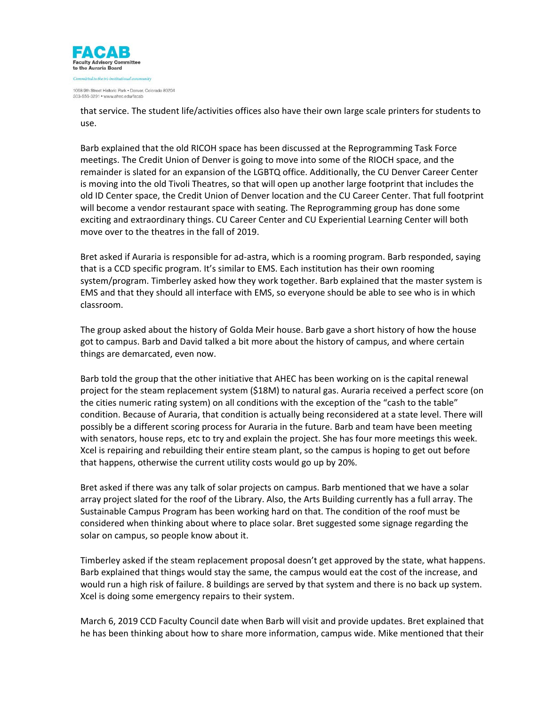

that service. The student life/activities offices also have their own large scale printers for students to use.

Barb explained that the old RICOH space has been discussed at the Reprogramming Task Force meetings. The Credit Union of Denver is going to move into some of the RIOCH space, and the remainder is slated for an expansion of the LGBTQ office. Additionally, the CU Denver Career Center is moving into the old Tivoli Theatres, so that will open up another large footprint that includes the old ID Center space, the Credit Union of Denver location and the CU Career Center. That full footprint will become a vendor restaurant space with seating. The Reprogramming group has done some exciting and extraordinary things. CU Career Center and CU Experiential Learning Center will both move over to the theatres in the fall of 2019.

Bret asked if Auraria is responsible for ad-astra, which is a rooming program. Barb responded, saying that is a CCD specific program. It's similar to EMS. Each institution has their own rooming system/program. Timberley asked how they work together. Barb explained that the master system is EMS and that they should all interface with EMS, so everyone should be able to see who is in which classroom.

The group asked about the history of Golda Meir house. Barb gave a short history of how the house got to campus. Barb and David talked a bit more about the history of campus, and where certain things are demarcated, even now.

Barb told the group that the other initiative that AHEC has been working on is the capital renewal project for the steam replacement system (\$18M) to natural gas. Auraria received a perfect score (on the cities numeric rating system) on all conditions with the exception of the "cash to the table" condition. Because of Auraria, that condition is actually being reconsidered at a state level. There will possibly be a different scoring process for Auraria in the future. Barb and team have been meeting with senators, house reps, etc to try and explain the project. She has four more meetings this week. Xcel is repairing and rebuilding their entire steam plant, so the campus is hoping to get out before that happens, otherwise the current utility costs would go up by 20%.

Bret asked if there was any talk of solar projects on campus. Barb mentioned that we have a solar array project slated for the roof of the Library. Also, the Arts Building currently has a full array. The Sustainable Campus Program has been working hard on that. The condition of the roof must be considered when thinking about where to place solar. Bret suggested some signage regarding the solar on campus, so people know about it.

Timberley asked if the steam replacement proposal doesn't get approved by the state, what happens. Barb explained that things would stay the same, the campus would eat the cost of the increase, and would run a high risk of failure. 8 buildings are served by that system and there is no back up system. Xcel is doing some emergency repairs to their system.

March 6, 2019 CCD Faculty Council date when Barb will visit and provide updates. Bret explained that he has been thinking about how to share more information, campus wide. Mike mentioned that their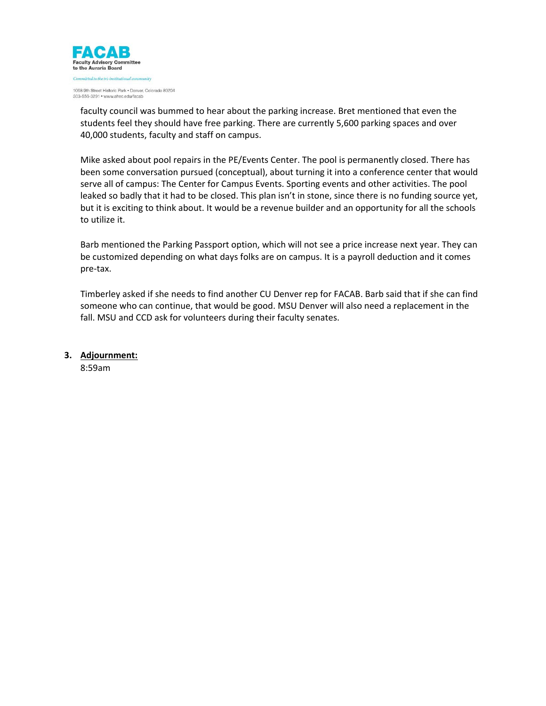

faculty council was bummed to hear about the parking increase. Bret mentioned that even the students feel they should have free parking. There are currently 5,600 parking spaces and over 40,000 students, faculty and staff on campus.

Mike asked about pool repairs in the PE/Events Center. The pool is permanently closed. There has been some conversation pursued (conceptual), about turning it into a conference center that would serve all of campus: The Center for Campus Events. Sporting events and other activities. The pool leaked so badly that it had to be closed. This plan isn't in stone, since there is no funding source yet, but it is exciting to think about. It would be a revenue builder and an opportunity for all the schools to utilize it.

Barb mentioned the Parking Passport option, which will not see a price increase next year. They can be customized depending on what days folks are on campus. It is a payroll deduction and it comes pre-tax.

Timberley asked if she needs to find another CU Denver rep for FACAB. Barb said that if she can find someone who can continue, that would be good. MSU Denver will also need a replacement in the fall. MSU and CCD ask for volunteers during their faculty senates.

**3. Adjournment:**

8:59am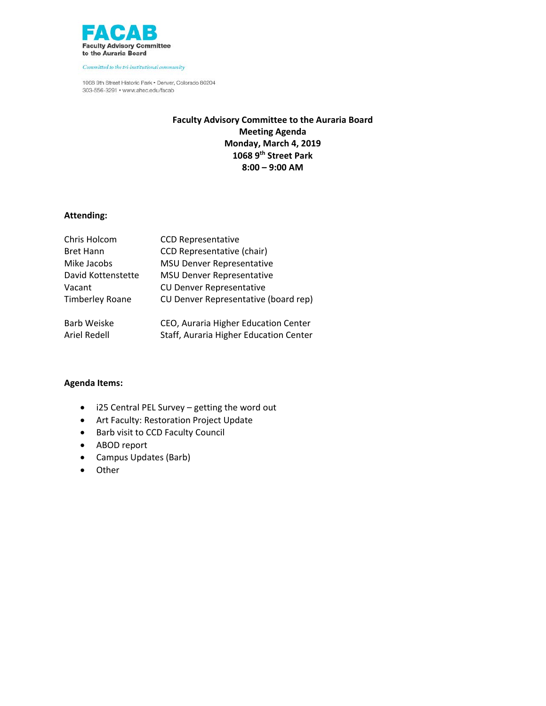

1068 9th Street Historic Park . Denver, Colorado 80204 303-556-3291 · www.ahec.edu/facab

## **Faculty Advisory Committee to the Auraria Board Meeting Agenda Monday, March 4, 2019 1068 9th Street Park 8:00 – 9:00 AM**

## **Attending:**

| Chris Holcom           | <b>CCD Representative</b>              |
|------------------------|----------------------------------------|
| <b>Bret Hann</b>       | <b>CCD Representative (chair)</b>      |
| Mike Jacobs            | <b>MSU Denver Representative</b>       |
| David Kottenstette     | <b>MSU Denver Representative</b>       |
| Vacant                 | <b>CU Denver Representative</b>        |
| <b>Timberley Roane</b> | CU Denver Representative (board rep)   |
| <b>Barb Weiske</b>     | CEO, Auraria Higher Education Center   |
| Ariel Redell           | Staff, Auraria Higher Education Center |

- i25 Central PEL Survey getting the word out
- Art Faculty: Restoration Project Update
- Barb visit to CCD Faculty Council
- ABOD report
- Campus Updates (Barb)
- Other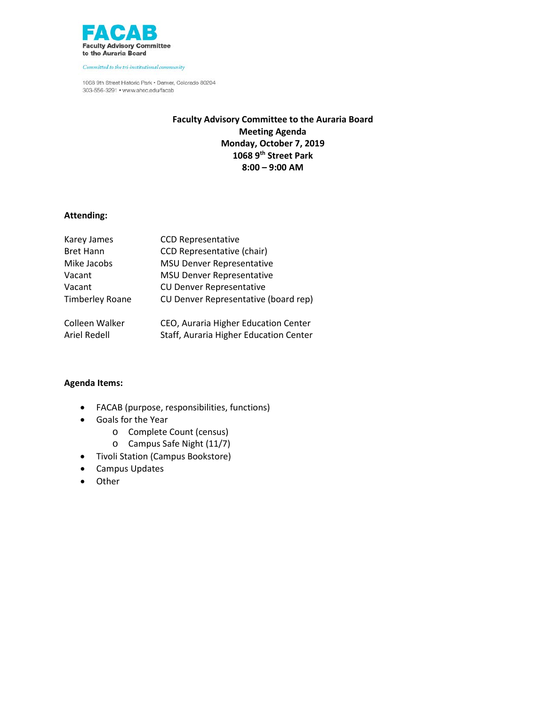

1068 9th Street Historic Park . Denver, Colorado 80204 303-556-3291 • www.ahec.edu/facab

## **Faculty Advisory Committee to the Auraria Board Meeting Agenda Monday, October 7, 2019 1068 9th Street Park 8:00 – 9:00 AM**

## **Attending:**

| Karey James            | <b>CCD Representative</b>              |
|------------------------|----------------------------------------|
| <b>Bret Hann</b>       | <b>CCD Representative (chair)</b>      |
| Mike Jacobs            | <b>MSU Denver Representative</b>       |
| Vacant                 | <b>MSU Denver Representative</b>       |
| Vacant                 | <b>CU Denver Representative</b>        |
| <b>Timberley Roane</b> | CU Denver Representative (board rep)   |
| Colleen Walker         | CEO, Auraria Higher Education Center   |
| Ariel Redell           | Staff, Auraria Higher Education Center |

- FACAB (purpose, responsibilities, functions)
- Goals for the Year
	- o Complete Count (census)
	- o Campus Safe Night (11/7)
- Tivoli Station (Campus Bookstore)
- Campus Updates
- Other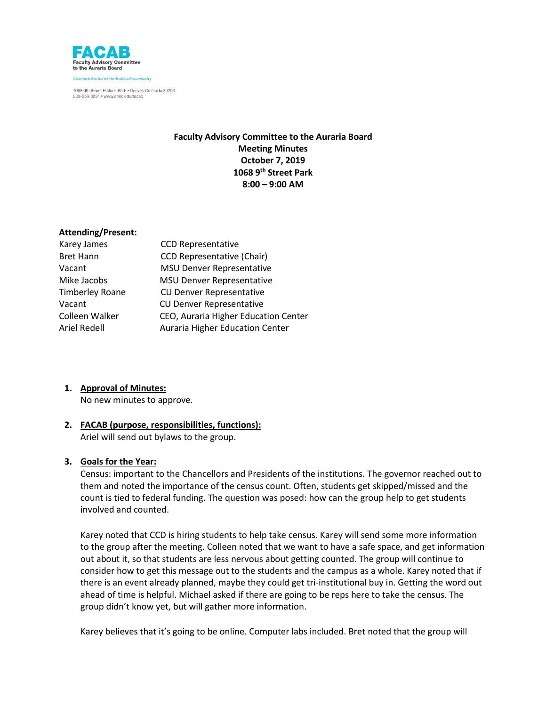

## **Faculty Advisory Committee to the Auraria Board Meeting Minutes October 7, 2019 1068 9th Street Park 8:00 – 9:00 AM**

### **Attending/Present:**

| <b>CCD Representative</b>            |
|--------------------------------------|
| <b>CCD Representative (Chair)</b>    |
| <b>MSU Denver Representative</b>     |
| <b>MSU Denver Representative</b>     |
| <b>CU Denver Representative</b>      |
| <b>CU Denver Representative</b>      |
| CEO, Auraria Higher Education Center |
| Auraria Higher Education Center      |
|                                      |

### **1. Approval of Minutes:**

No new minutes to approve.

### **2. FACAB (purpose, responsibilities, functions):**

Ariel will send out bylaws to the group.

#### **3. Goals for the Year:**

Census: important to the Chancellors and Presidents of the institutions. The governor reached out to them and noted the importance of the census count. Often, students get skipped/missed and the count is tied to federal funding. The question was posed: how can the group help to get students involved and counted.

Karey noted that CCD is hiring students to help take census. Karey will send some more information to the group after the meeting. Colleen noted that we want to have a safe space, and get information out about it, so that students are less nervous about getting counted. The group will continue to consider how to get this message out to the students and the campus as a whole. Karey noted that if there is an event already planned, maybe they could get tri-institutional buy in. Getting the word out ahead of time is helpful. Michael asked if there are going to be reps here to take the census. The group didn't know yet, but will gather more information.

Karey believes that it's going to be online. Computer labs included. Bret noted that the group will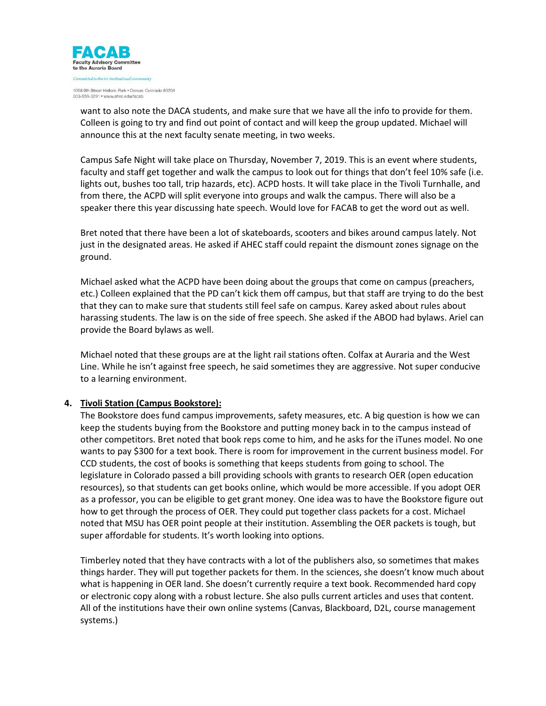

want to also note the DACA students, and make sure that we have all the info to provide for them. Colleen is going to try and find out point of contact and will keep the group updated. Michael will announce this at the next faculty senate meeting, in two weeks.

Campus Safe Night will take place on Thursday, November 7, 2019. This is an event where students, faculty and staff get together and walk the campus to look out for things that don't feel 10% safe (i.e. lights out, bushes too tall, trip hazards, etc). ACPD hosts. It will take place in the Tivoli Turnhalle, and from there, the ACPD will split everyone into groups and walk the campus. There will also be a speaker there this year discussing hate speech. Would love for FACAB to get the word out as well.

Bret noted that there have been a lot of skateboards, scooters and bikes around campus lately. Not just in the designated areas. He asked if AHEC staff could repaint the dismount zones signage on the ground.

Michael asked what the ACPD have been doing about the groups that come on campus (preachers, etc.) Colleen explained that the PD can't kick them off campus, but that staff are trying to do the best that they can to make sure that students still feel safe on campus. Karey asked about rules about harassing students. The law is on the side of free speech. She asked if the ABOD had bylaws. Ariel can provide the Board bylaws as well.

Michael noted that these groups are at the light rail stations often. Colfax at Auraria and the West Line. While he isn't against free speech, he said sometimes they are aggressive. Not super conducive to a learning environment.

### **4. Tivoli Station (Campus Bookstore):**

The Bookstore does fund campus improvements, safety measures, etc. A big question is how we can keep the students buying from the Bookstore and putting money back in to the campus instead of other competitors. Bret noted that book reps come to him, and he asks for the iTunes model. No one wants to pay \$300 for a text book. There is room for improvement in the current business model. For CCD students, the cost of books is something that keeps students from going to school. The legislature in Colorado passed a bill providing schools with grants to research OER (open education resources), so that students can get books online, which would be more accessible. If you adopt OER as a professor, you can be eligible to get grant money. One idea was to have the Bookstore figure out how to get through the process of OER. They could put together class packets for a cost. Michael noted that MSU has OER point people at their institution. Assembling the OER packets is tough, but super affordable for students. It's worth looking into options.

Timberley noted that they have contracts with a lot of the publishers also, so sometimes that makes things harder. They will put together packets for them. In the sciences, she doesn't know much about what is happening in OER land. She doesn't currently require a text book. Recommended hard copy or electronic copy along with a robust lecture. She also pulls current articles and uses that content. All of the institutions have their own online systems (Canvas, Blackboard, D2L, course management systems.)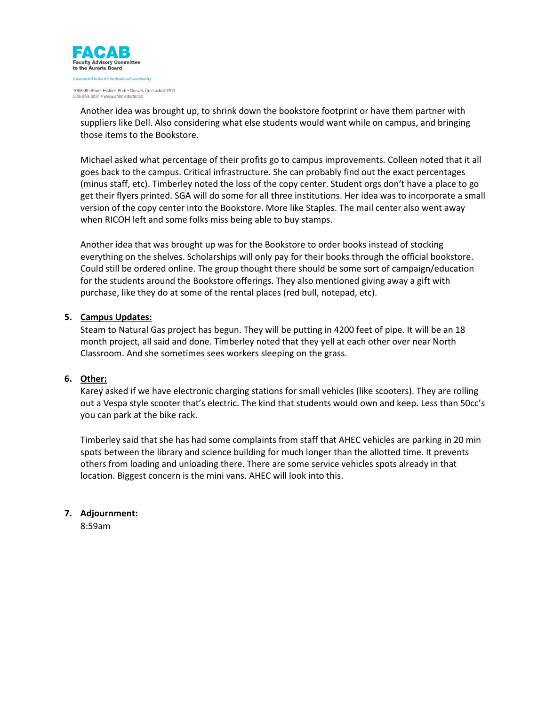

Another idea was brought up, to shrink down the bookstore footprint or have them partner with suppliers like Dell. Also considering what else students would want while on campus, and bringing those items to the Bookstore.

Michael asked what percentage of their profits go to campus improvements. Colleen noted that it all goes back to the campus. Critical infrastructure. She can probably find out the exact percentages (minus staff, etc). Timberley noted the loss of the copy center. Student orgs don't have a place to go get their flyers printed. SGA will do some for all three institutions. Her idea was to incorporate a small version of the copy center into the Bookstore. More like Staples. The mail center also went away when RICOH left and some folks miss being able to buy stamps.

Another idea that was brought up was for the Bookstore to order books instead of stocking everything on the shelves. Scholarships will only pay for their books through the official bookstore. Could still be ordered online. The group thought there should be some sort of campaign/education for the students around the Bookstore offerings. They also mentioned giving away a gift with purchase, like they do at some of the rental places (red bull, notepad, etc).

### **5. Campus Updates:**

Steam to Natural Gas project has begun. They will be putting in 4200 feet of pipe. It will be an 18 month project, all said and done. Timberley noted that they yell at each other over near North Classroom. And she sometimes sees workers sleeping on the grass.

#### **6. Other:**

Karey asked if we have electronic charging stations for small vehicles (like scooters). They are rolling out a Vespa style scooter that's electric. The kind that students would own and keep. Less than 50cc's you can park at the bike rack.

Timberley said that she has had some complaints from staff that AHEC vehicles are parking in 20 min spots between the library and science building for much longer than the allotted time. It prevents others from loading and unloading there. There are some service vehicles spots already in that location. Biggest concern is the mini vans. AHEC will look into this.

### **7. Adjournment:**

8:59am